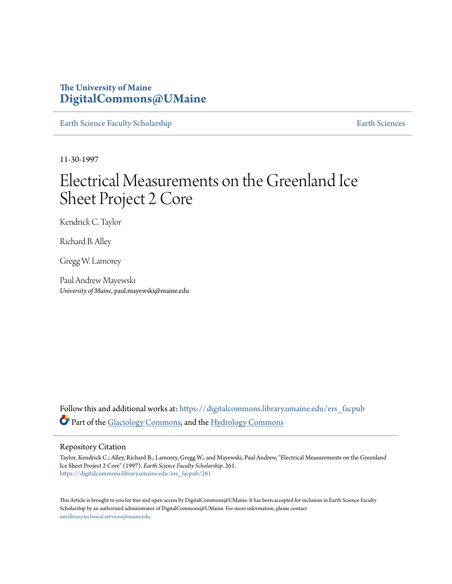## **The University of Maine [DigitalCommons@UMaine](https://digitalcommons.library.umaine.edu?utm_source=digitalcommons.library.umaine.edu%2Fers_facpub%2F261&utm_medium=PDF&utm_campaign=PDFCoverPages)**

[Earth Science Faculty Scholarship](https://digitalcommons.library.umaine.edu/ers_facpub?utm_source=digitalcommons.library.umaine.edu%2Fers_facpub%2F261&utm_medium=PDF&utm_campaign=PDFCoverPages) **[Earth Sciences](https://digitalcommons.library.umaine.edu/ers?utm_source=digitalcommons.library.umaine.edu%2Fers_facpub%2F261&utm_medium=PDF&utm_campaign=PDFCoverPages)** 

11-30-1997

# Electrical Measurements on the Greenland Ice Sheet Project 2 Core

Kendrick C. Taylor

Richard B. Alley

Gregg W. Lamorey

Paul Andrew Mayewski *University of Maine*, paul.mayewski@maine.edu

Follow this and additional works at: [https://digitalcommons.library.umaine.edu/ers\\_facpub](https://digitalcommons.library.umaine.edu/ers_facpub?utm_source=digitalcommons.library.umaine.edu%2Fers_facpub%2F261&utm_medium=PDF&utm_campaign=PDFCoverPages) Part of the [Glaciology Commons,](http://network.bepress.com/hgg/discipline/159?utm_source=digitalcommons.library.umaine.edu%2Fers_facpub%2F261&utm_medium=PDF&utm_campaign=PDFCoverPages) and the [Hydrology Commons](http://network.bepress.com/hgg/discipline/1054?utm_source=digitalcommons.library.umaine.edu%2Fers_facpub%2F261&utm_medium=PDF&utm_campaign=PDFCoverPages)

### Repository Citation

Taylor, Kendrick C.; Alley, Richard B.; Lamorey, Gregg W.; and Mayewski, Paul Andrew, "Electrical Measurements on the Greenland Ice Sheet Project 2 Core" (1997). *Earth Science Faculty Scholarship*. 261. [https://digitalcommons.library.umaine.edu/ers\\_facpub/261](https://digitalcommons.library.umaine.edu/ers_facpub/261?utm_source=digitalcommons.library.umaine.edu%2Fers_facpub%2F261&utm_medium=PDF&utm_campaign=PDFCoverPages)

This Article is brought to you for free and open access by DigitalCommons@UMaine. It has been accepted for inclusion in Earth Science Faculty Scholarship by an authorized administrator of DigitalCommons@UMaine. For more information, please contact [um.library.technical.services@maine.edu](mailto:um.library.technical.services@maine.edu).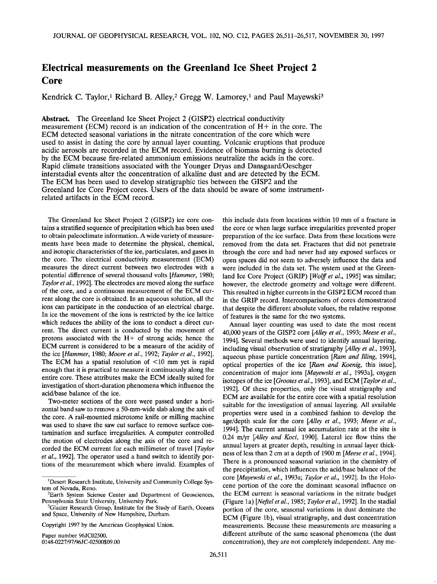## **Electrical measurements on the Greenland Ice Sheet Project 2 Core**

Kendrick C. Taylor,<sup>1</sup> Richard B. Alley,<sup>2</sup> Gregg W. Lamorey,<sup>1</sup> and Paul Mayewski<sup>3</sup>

**Abstract. The Greenland Ice Sheet Project 2 (GISP2) electrical conductivity measurement (ECM) record is an indication of the concentration of H+ in the core. The ECM detected seasonal variations in the nitrate concentration of the core which were used to assist in dating the core by annual layer counting. Volcanic eruptions that produce acidic aerosols are recorded in the ECM record. Evidence of biomass burning is detected by the ECM because fire-related ammonium emissions neutralize the acids in the core. Rapid climate transitions associated with the Younger Dryas and Dansgaard/Oeschger interstadial events alter the concentration of alkaline dust and are detected by the ECM. The ECM has been used to develop stratigraphic ties between the GISP2 and the Greenland Ice Core Project cores. Users of the data should be aware of some instrumentrelated artifacts in the ECM record.** 

**The Greenland Ice Sheet Project 2 (GISP2) ice core contains a stratified sequence of precipitation which has been used to obtain paleoclimate information. A wide variety of measurements have been made to determine the physical, chemical, and isotopic characteristics of the ice, particulates, and gases in the core. The electrical conductivity measurement (ECM) measures the direct current between two electrodes with a potential difference of several thousand volts [Hammer, 1980; Taylor et al., 1992]. The electrodes are moved along the surface of the core, and a continuous measurement of the ECM current along the core is obtained. In an aqueous solution, all the ions can participate in the conduction of an electrical charge. In ice the movement of the ions is restricted by the ice lattice which reduces the ability of the ions to conduct a direct current. The direct current is conducted by the movement of protons associated with the H+ of strong acids; hence the ECM current is considered to be a measure of the acidity of the ice [Hammer, 1980; Moore et al., 1992; Taylor et al., 1992]. The ECM has a spatial resolution of <10 mm yet is rapid enough that it is practical to measure it continuously along the entire core. These attributes make the ECM ideally suited for investigation of short-duration phenomena which influence the acid/base balance of the ice.** 

**Two-meter sections of the core were passed under a horizontal band saw to remove a 50-mm-wide slab along the axis of the core. A rail-mounted microtome knife or milling machine was used to shave the saw cut surface to remove surface contamination and surface irregularities. A computer controlled the motion of electrodes along the axis of the core and recorded the ECM current for each millimeter of travel [Taylor et al., 1992]. The operator used a hand switch to identify portions of the measurement which where invalid. Examples of** 

**Copyright 1997 by the American Geophysical Union.** 

**Paper number 96JC02500. 0148-0227/97/96JC-02500509.00**  **this include data from locations within 10 mm of a fracture in the core or when large surface irregularities prevented proper preparation of the ice surface. Data from these locations were removed from the data set. Fractures that did not penetrate through the core and had never had any exposed surfaces or open spaces did not seem to adversely influence the data and were included in the data set. The system used at the Greenland Ice Core Project (GRIP) [Wolff et al., 1995] was similar; however, the electrode geometry and voltage were different. This resulted in higher currents in the GISP2 ECM record than in the GRIP record. Intercomparisons of cores demonstrated that despite the different absolute values, the relative response of features is the same for the two systems.** 

**Annual layer counting was used to date the most recent 40,000 years of the GISP2 core [Alley et al., 1993; Meese et al., 1994]. Several methods were used to identify annual layering, including visual observation of stratigraphy [Alley et al., 1993], aqueous phase particle concentration [Ram and Illing, 1994], optical properties of the ice [Ram and Koenig, this issue], concentration of major ions [Mayewski et al., 1993a], oxygen isotopes of the ice [Grootes et al., 1993], and ECM [Taylor et al., 1992]. Of these properties, only the visual stratigraphy and ECM are available for the entire core with a spatial resolution suitable for the investigation of annual layering. All available properties were used in a combined fashion to develop the age/depth scale for the core [Alley et al., 1993; Meese et al., 1994]. The current annual ice accumulation rate at the site is 0.24 m/yr [Alley and Koci, 1990]. Lateral ice flow thins the annual layers at greater depth, resulting in annual layer thickness of less than 2 cm at a depth of 1900 m [Meese et al., 1994]. There is a pronounced seasonal variation in the chemistry of the precipitation, which influences the acid/base balance of the core [Mayewski et al., 1993a; Taylor et al., 1992]. In the Holocene portion of the core the dominant seasonal influence on the ECM current is seasonal variations in the nitrate budget (Figure la) [Neftel et al., 1985; Taylor et al., 1992]. In the stadial portion of the core, seasonal variations in dust dominate the ECM (Figure lb), visual stratigraphy, and dust concentration measurements. Because these measurements are measuring a different attribute of the same seasonal phenomena (the dust concentration), they are not completely independent. Any me-**

<sup>&</sup>lt;sup>1</sup>Desert Research Institute, University and Community College Sys**tem of Nevada, Reno.** 

**<sup>2</sup>Earth System Science Center and Department of Geosciences, Pennsylvania State University, University Park.** 

**<sup>3</sup>Glacier Research Group, Institute for the Study of Earth, Oceans and Space, University of New Hampshire, Durham.**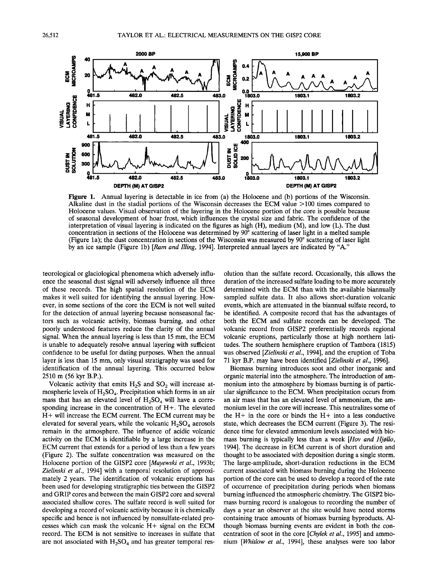

**Figure 1.** Annual layering is detectable in ice from (a) the Holocene and (b) portions of the Wisconsin. **Alkaline dust in the stadial portions of the Wisconsin decreases the ECM value >100 times compared to Holocene values. Visual observation of the layering in the Holocene portion of the core is possible because of seasonal development of hoar frost, which influences the crystal size and fabric. The confidence of the interpretation of visual layering is indicated on the figures as high (H), medium (M), and low (L). The dust**  concentration in sections of the Holocene was determined by 90<sup>°</sup> scattering of laser light in a melted sample (Figure 1a); the dust concentration in sections of the Wisconsin was measured by 90<sup>°</sup> scattering of laser light **by an ice sample (Figure lb) [Ram and Illing, 1994]. Interpreted annual layers are indicated by "A."** 

**teorological or glaciological phenomena which adversely influence the seasonal dust signal will adversely influence all three of these records. The high spatial resolution of the ECM makes it well suited for identifying the annual layering. However, in some sections of the core the ECM is not well suited for the detection of annual layering because nonseasonal factors such as volcanic activity, biomass burning, and other poorly understood features reduce the clarity of the annual signal. When the annual layering is less than 15 mm, the ECM is unable to adequately resolve annual layering with sufficient confidence to be useful for dating purposes. When the annual layer is less than 15 mm, only visual stratigraphy was used for identification of the annual layering. This occurred below 2510 m (56 kyr B.P.).** 

Volcanic activity that emits H<sub>2</sub>S and SO<sub>2</sub> will increase atmospheric levels of H<sub>2</sub>SO<sub>4</sub>. Precipitation which forms in an air mass that has an elevated level of H<sub>2</sub>SO<sub>4</sub> will have a corre**sponding increase in the concentration of H+. The elevated H + will increase the ECM current. The ECM current may be**  elevated for several years, while the volcanic H<sub>2</sub>SO<sub>4</sub> aerosols **remain in the atmosphere. The influence of acidic volcanic activity on the ECM is identifiable by a large increase in the ECM current that extends for a period of less than a few years (Figure 2). The sulfate concentration was measured on the Holocene portion of the GISP2 core [Mayewski et al., 1993b; Zielinski et al., 1994] with a temporal resolution of approximately 2 years. The identification of volcanic eruptions has been used for developing stratigraphic ties between the GISP2 and GRIP cores and between the main GISP2 core and several associated shallow cores. The sulfate record is well suited for developing a record of volcanic activity because it is chemically specific and hence is not influenced by nonsulfate-related processes which can mask the volcanic H+ signal on the ECM record. The ECM is not sensitive to increases in sulfate that**  are not associated with H<sub>2</sub>SO<sub>4</sub> and has greater temporal res-

**olution than the sulfate record. Occasionally, this allows the duration of the increased sulfate loading to be more accurately determined with the ECM than with the available biannually sampled sulfate data. It also allows short-duration volcanic events, which are attenuated in the biannual sulfate record, to be identified. A composite record that has the advantages of both the ECM and sulfate records can be developed. The volcanic record from GISP2 preferentially records regional volcanic eruptions, particularly those at high northern latitudes. The southern hemisphere eruption of Tambora (1815) was observed [Zielinski et al., 1994], and the eruption of Toba 71 kyr B.P. may have been identified [Zielinski et al., 1996].** 

**Biomass burning introduces soot and other inorganic and organic material into the atmosphere. The introduction of ammonium into the atmosphere by biomass burning is of particular significance to the ECM. When precipitation occurs from an air mass that has an elevated level of ammonium, the ammonium level in the core will increase. This neutralizes some of the H+ in the core or binds the H+ into a less conductive state, which decreases the ECM current (Figure 3). The residence time for elevated ammonium levels associated with bio**mass burning is typically less than a week [Hov and Hjøllo, **1994]. The decrease in ECM current is of short duration and thought to be associated with deposition during a single storm. The large-amplitude, short-duration reductions in the ECM current associated with biomass burning during the Holocene portion of the core can be used to develop a record of the rate of occurrence of precipitation during periods when biomass burning influenced the atmospheric chemistry. The GISP2 biomass burning record is analogous to recording the number of days a year an observer at the site would have noted storms containing trace amounts of biomass burning byproducts. Although biomass burning events are evident in both the concentration of soot in the core [Chylek et al., 1995] and ammonium [Whitlow et al., 1994], these analyses were too labor**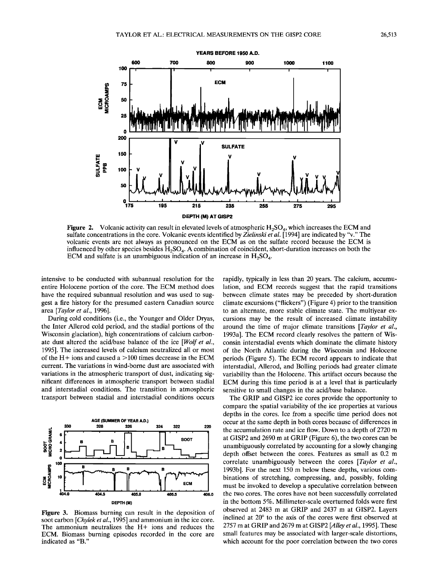

**Figure 2.** Volcanic activity can result in elevated levels of atmospheric  $H_2SO_4$ , which increases the ECM and **sulfate concentrations in the core. Volcanic events identified by Zielinski et al. [1994] are indicated by "v." The volcanic events are not always as pronounced on the ECM as on the sulfate record because the ECM is**  influenced by other species besides H<sub>2</sub>SO<sub>4</sub>. A combination of coincident, short-duration increases on both the **ECM** and sulfate is an unambiguous indication of an increase in  $H_2SO_4$ .

**intensive to be conducted with subannual resolution for the entire Holocene portion of the core. The ECM method does have the required subannual resolution and was used to suggest a fire history for the presumed eastern Canadian source area [Taylor et al., 1996].** 

**During cold conditions (i.e., the Younger and Older Dryas, the Inter Allerod cold period, and the stadial portions of the Wisconsin glaciation), high concentrations of calcium carbonate dust altered the acid/base balance of the ice [Wolf et al., 1995]. The increased levels of calcium neutralized all or most of the H+ ions and caused a > 100 times decrease in the ECM current. The variations in wind-borne dust are associated with variations in the atmospheric transport of dust, indicating significant differences in atmospheric transport between stadial and interstadial conditions. The transition in atmospheric transport between stadial and interstadial conditions occurs** 



**Figure 3. Biomass burning can result in the deposition of soot carbon [Chylek et al., 1995] and ammonium in the ice core. The ammonium neutralizes the H+ ions and reduces the ECM. Biomass burning episodes recorded in the core are indicated as "B."** 

**rapidly, typically in less than 20 years. The calcium, accumulation, and ECM records suggest that the rapid transitions between climate states may be preceded by short-duration climate excursions ("flickers") (Figure 4) prior to the transition to an alternate, more stable climate state. The multiyear excursions may be the result of increased climate instability around the time of major climate transitions [Taylor et al., 1993a]. The ECM record clearly resolves the pattern of Wisconsin interstadial events which dominate the climate history of the North Atlantic during the Wisconsin and Holocene periods (Figure 5). The ECM record appears to indicate that interstadial, Allerod, and Bolling periods had greater climate variability than the Holocene. This artifact occurs because the ECM during this time period is at a level that is particularly sensitive to small changes in the acid/base balance.** 

**The GRIP and GISP2 ice cores provide the opportunity to compare the spatial variability of the ice properties at various depths in the cores. Ice from a specific time period does not occur at the same depth in both cores because of differences in the accumulation rate and ice flow. Down to a depth of 2720 m at GISP2 and 2690 m at GRIP (Figure 6), the two cores can be unambiguously correlated by accounting for a slowly changing depth offset between the cores. Features as small as 0.2 m correlate unambiguously between the cores [Taylor et al., 1993b]. For the next 150 m below these depths, various combinations of stretching, compressing, and, possibly, folding must be invoked to develop a speculative correlation between the two cores. The cores have not been successfully correlated in the bottom 5%. Millimeter-scale overturned folds were first observed at 2483 m at GRIP and 2437 m at GISP2. Layers**  inclined at 20° to the axis of the cores were first observed at **2757 m at GRIP and 2679 m at GISP2 [Alley et al., 1995]. These small features may be associated with larger-scale distortions, which account for the poor correlation between the two cores**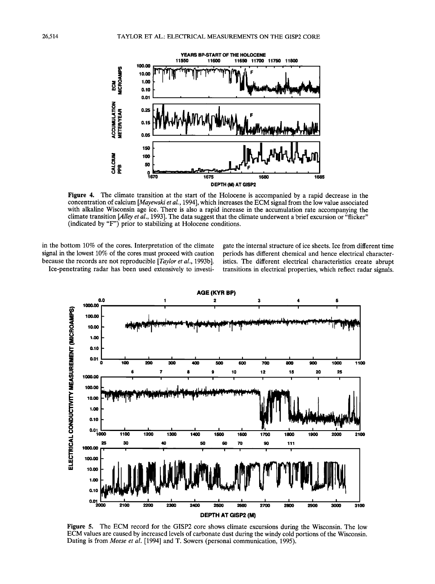

**Figure 4. The climate transition at the start of the Holocene is accompanied by a rapid decrease in the concentration of calcium [Mayewski et al., 1994], which increases the ECM signal from the low value associated with alkaline Wisconsin age ice. There is also a rapid increase in the accumulation rate accompanying the climate transition [Alley et al., 1993]. The data suggest that the climate underwent a brief excursion or "flicker" (indicated by "F") prior to stabilizing at Holocene conditions.** 

**in the bottom 10% of the cores. Interpretation of the climate signal in the lowest 10% of the cores must proceed with caution because the records are not reproducible [Taylor et al., 1993b]. Ice-penetrating radar has been used extensively to investi-** **gate the internal structure of ice sheets. Ice from different time periods has different chemical and hence electrical characteristics. The different electrical characteristics create abrupt transitions in electrical properties, which reflect radar signals.** 



**Figure 5. The ECM record for the GISP2 core shows climate excursions during the Wisconsin. The low ECM values are caused by increased levels of carbonate dust during the windy cold portions of the Wisconsin. Dating is from Meese et al. [1994] and T. Sowers (personal communication, 1995).**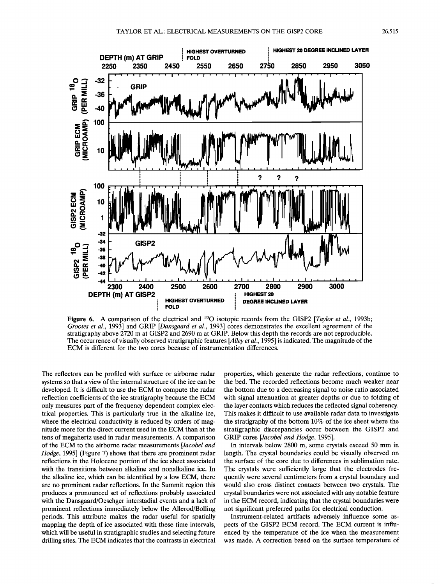

Figure 6. A comparison of the electrical and <sup>18</sup>O isotopic records from the GISP2 [*Taylor et al.*, 1993b; Grootes et al., 1993] and GRIP [Dansgaard et al., 1993] cores demonstrates the excellent agreement of the **stratigraphy above 2720 m at GISP2 and 2690 m at GRIP. Below this depth the records are not reproducible. The occurrence of visually observed stratigraphic features [Alley et al., 1995] is indicated. The magnitude of the ECM is different for the two cores because of instrumentation differences.** 

**The reflectors can be profiled with surface or airborne radar**  systems so that a view of the internal structure of the ice can be **developed. It is difficult to use the ECM to compute the radar reflection coefficients of the ice stratigraphy because the ECM only measures part of the frequency dependent complex electrical properties. This is particularly true in the alkaline ice, where the electrical conductivity is reduced by orders of magnitude more for the direct current used in the ECM than at the tens of megahertz used in radar measurements. A comparison of the ECM to the airborne radar measurements [Jacobel and Hedge, 1995] (Figure 7) shows that there are prominent radar reflections in the Holocene portion of the ice sheet associated with the transitions between alkaline and nonalkaline ice. In the alkaline ice, which can be identified by a low ECM, there are no prominent radar reflections. In the Summit region this produces a pronounced set of reflections probably associated with the Dansgaard/Oeschger interstadial events and a lack of prominent reflections immediately below the Allerod/Bolling periods. This attribute makes the radar useful for spatially mapping the depth of ice associated with these time intervals, which will be useful in stratigraphic studies and selecting future drilling sites. The ECM indicates that the contrasts in electrical** 

**properties, which generate the radar reflections, continue to the bed. The recorded reflections become much weaker near the bottom due to a decreasing signal to noise ratio associated with signal attenuation at greater depths or due to folding of the layer contacts which reduces the reflected signal coherency. This makes it difficult to use available radar data to investigate the stratigraphy of the bottom 10% of the ice sheet where the stratigraphic discrepancies occur between the GISP2 and**  GRIP cores [Jacobel and Hodge, 1995].

**In intervals below 2800 m, some crystals exceed 50 mm in length. The crystal boundaries could be visually observed on the surface of the core due to differences in sublimation rate. The crystals were sufficiently large that the electrodes frequently were several centimeters from a crystal boundary and would also cross distinct contacts between two crystals. The crystal boundaries were not associated with any notable feature in the ECM record, indicating that the crystal boundaries were not significant preferred paths for electrical conduction.** 

**Instrument-related artifacts adversely influence some aspects of the GISP2 ECM record. The ECM current is influenced by the temperature of the ice when the measurement was made. A correction based on the surface temperature of**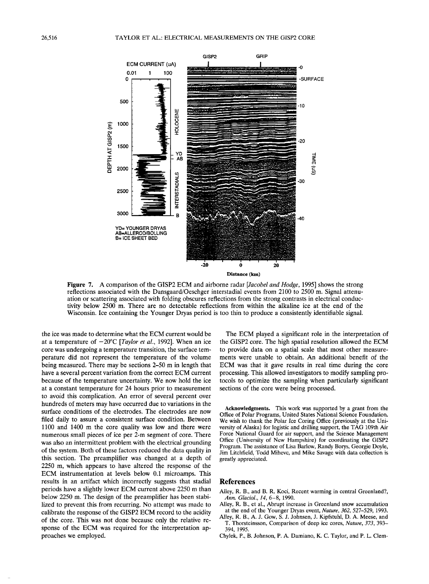

**Figure 7. A comparison of the GISP2 ECM and airborne radar [Jacobel and Hodge, 1995] shows the strong reflections associated with the Dansgaard/Oeschger interstadial events from 2100 to 2500 m. Signal attenuation or scattering associated with folding obscures reflections from the strong contrasts in electrical conductivity below 2500 m. There are no detectable reflections from within the alkaline ice at the end of the Wisconsin. Ice containing the Younger Dryas period is too thin to produce a consistently identifiable signal.** 

**the ice was made to determine what the ECM current would be**  at a temperature of  $-20^{\circ}$ C [*Taylor et al.*, 1992]. When an ice **core was undergoing a temperature transition, the surface temperature did not represent the temperature of the volume being measured. There may be sections 2-50 m in length that have a several percent variation from the correct ECM current because of the temperature uncertainty. We now hold the ice at a constant temperature for 24 hours prior to measurement to avoid this complication. An error of several percent over hundreds of meters may have occurred due to variations in the surface conditions of the electrodes. The electrodes are now filed daily to assure a consistent surface condition. Between 1100 and 1400 m the core quality was low and there were numerous small pieces of ice per 2-m segment of core. There was also an intermittent problem with the electrical grounding of the system. Both of these factors reduced the data quality in this section. The preamplifier was changed at a depth of 2250 m, which appears to have altered the response of the ECM instrumentation at levels below 0.1 microamps. This results in an artifact which incorrectly suggests that stadial periods have a slightly lower ECM current above 2250 m than below 2250 m. The design of the preamplifier has been stabilized to prevent this from recurring. No attempt was made to calibrate the response of the GISP2 ECM record to the acidity of the core. This was not done because only the relative response of the ECM was required for the interpretation approaches we employed.** 

**The ECM played a significant role in the interpretation of the GISP2 core. The high spatial resolution allowed the ECM to provide data on a spatial scale that most other measurements were unable to obtain. An additional benefit of the ECM was that it gave results in real time during the core processing. This allowed investigators to modify sampling protocols to optimize the sampling when particularly significant sections of the core were being processed.** 

**Acknowledgments. This work was supported by a grant from the Office of Polar Programs, United States National Science Foundation. We wish to thank the Polar Ice Coring Office (previously at the University of Alaska) for logistic and drilling support, the TAG 109th Air Force National Guard for air support, and the Science Management Office (University of New Hampshire) for coordinating the GISP2 Program. The assistance of Lisa Barlow, Randy Borys, Georgie Doyle, Jim. Litchfield, Todd Mihevc, and Mike Savage with data collection is greatly appreciated.** 

#### **References**

- **Alley, R. B., and B. R. Koci, Recent warming in central Greenland?, Ann. Glaciol., 14, 6-8, 1990.**
- **Alley, R. B., et al., Abrupt increase in Greenland snow accumulation at the end of the Younger Dryas event, Nature, 362, 527-529, 1993.**
- **Alley, R. B., A. J. Gow, S. J. Johnsen, J. Kipfstuhl, D. A. Meese, and T. Thorsteinsson, Comparison of deep ice cores, Nature, 373, 393- 394, 1995.**
- **Chylek, P., B. Johnson, P. A. Damiano, K. C. Taylor, and P. L. Clem-**